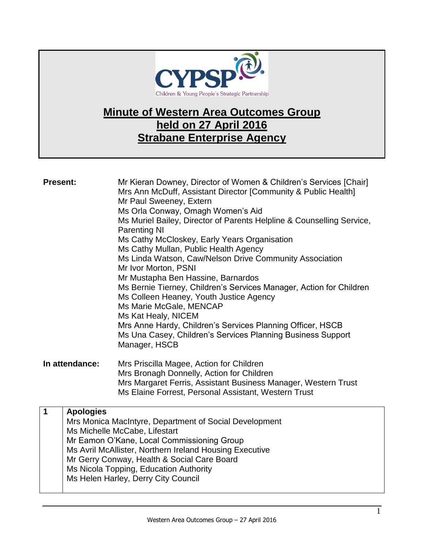

## **Minute of Western Area Outcomes Group held on 27 April 2016 Strabane Enterprise Agency**

| <b>Present:</b> |                  | Mr Kieran Downey, Director of Women & Children's Services [Chair]<br>Mrs Ann McDuff, Assistant Director [Community & Public Health]<br>Mr Paul Sweeney, Extern<br>Ms Orla Conway, Omagh Women's Aid<br>Ms Muriel Bailey, Director of Parents Helpline & Counselling Service,<br><b>Parenting NI</b><br>Ms Cathy McCloskey, Early Years Organisation<br>Ms Cathy Mullan, Public Health Agency<br>Ms Linda Watson, Caw/Nelson Drive Community Association<br>Mr Ivor Morton, PSNI<br>Mr Mustapha Ben Hassine, Barnardos<br>Ms Bernie Tierney, Children's Services Manager, Action for Children<br>Ms Colleen Heaney, Youth Justice Agency<br>Ms Marie McGale, MENCAP<br>Ms Kat Healy, NICEM<br>Mrs Anne Hardy, Children's Services Planning Officer, HSCB<br>Ms Una Casey, Children's Services Planning Business Support<br>Manager, HSCB |
|-----------------|------------------|-----------------------------------------------------------------------------------------------------------------------------------------------------------------------------------------------------------------------------------------------------------------------------------------------------------------------------------------------------------------------------------------------------------------------------------------------------------------------------------------------------------------------------------------------------------------------------------------------------------------------------------------------------------------------------------------------------------------------------------------------------------------------------------------------------------------------------------------|
| In attendance:  |                  | Mrs Priscilla Magee, Action for Children<br>Mrs Bronagh Donnelly, Action for Children<br>Mrs Margaret Ferris, Assistant Business Manager, Western Trust<br>Ms Elaine Forrest, Personal Assistant, Western Trust                                                                                                                                                                                                                                                                                                                                                                                                                                                                                                                                                                                                                         |
| $\mathbf 1$     | <b>Apologies</b> | Mrs Monica MacIntyre, Department of Social Development<br>Ms Michelle McCabe, Lifestart<br>Mr Eamon O'Kane, Local Commissioning Group<br>Ms Avril McAllister, Northern Ireland Housing Executive<br>Mr Gerry Conway, Health & Social Care Board<br>Ms Nicola Topping, Education Authority<br>Ms Helen Harley, Derry City Council                                                                                                                                                                                                                                                                                                                                                                                                                                                                                                        |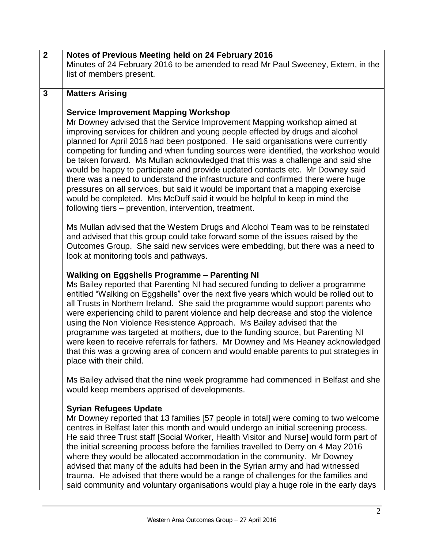| $\overline{2}$ | Notes of Previous Meeting held on 24 February 2016                                                                                                                                                                                                                                                                                                                                                                                                                                                                                                                                                                                                                                                                                                                                                                        |
|----------------|---------------------------------------------------------------------------------------------------------------------------------------------------------------------------------------------------------------------------------------------------------------------------------------------------------------------------------------------------------------------------------------------------------------------------------------------------------------------------------------------------------------------------------------------------------------------------------------------------------------------------------------------------------------------------------------------------------------------------------------------------------------------------------------------------------------------------|
|                | Minutes of 24 February 2016 to be amended to read Mr Paul Sweeney, Extern, in the                                                                                                                                                                                                                                                                                                                                                                                                                                                                                                                                                                                                                                                                                                                                         |
|                | list of members present.                                                                                                                                                                                                                                                                                                                                                                                                                                                                                                                                                                                                                                                                                                                                                                                                  |
|                |                                                                                                                                                                                                                                                                                                                                                                                                                                                                                                                                                                                                                                                                                                                                                                                                                           |
| $\mathbf{3}$   | <b>Matters Arising</b>                                                                                                                                                                                                                                                                                                                                                                                                                                                                                                                                                                                                                                                                                                                                                                                                    |
|                | <b>Service Improvement Mapping Workshop</b>                                                                                                                                                                                                                                                                                                                                                                                                                                                                                                                                                                                                                                                                                                                                                                               |
|                | Mr Downey advised that the Service Improvement Mapping workshop aimed at<br>improving services for children and young people effected by drugs and alcohol<br>planned for April 2016 had been postponed. He said organisations were currently<br>competing for funding and when funding sources were identified, the workshop would<br>be taken forward. Ms Mullan acknowledged that this was a challenge and said she<br>would be happy to participate and provide updated contacts etc. Mr Downey said<br>there was a need to understand the infrastructure and confirmed there were huge<br>pressures on all services, but said it would be important that a mapping exercise<br>would be completed. Mrs McDuff said it would be helpful to keep in mind the<br>following tiers – prevention, intervention, treatment. |
|                | Ms Mullan advised that the Western Drugs and Alcohol Team was to be reinstated<br>and advised that this group could take forward some of the issues raised by the<br>Outcomes Group. She said new services were embedding, but there was a need to<br>look at monitoring tools and pathways.                                                                                                                                                                                                                                                                                                                                                                                                                                                                                                                              |
|                | <b>Walking on Eggshells Programme - Parenting NI</b><br>Ms Bailey reported that Parenting NI had secured funding to deliver a programme<br>entitled "Walking on Eggshells" over the next five years which would be rolled out to<br>all Trusts in Northern Ireland. She said the programme would support parents who<br>were experiencing child to parent violence and help decrease and stop the violence<br>using the Non Violence Resistence Approach. Ms Bailey advised that the<br>programme was targeted at mothers, due to the funding source, but Parenting NI<br>were keen to receive referrals for fathers. Mr Downey and Ms Heaney acknowledged<br>that this was a growing area of concern and would enable parents to put strategies in<br>place with their child.                                            |
|                | Ms Bailey advised that the nine week programme had commenced in Belfast and she<br>would keep members apprised of developments.                                                                                                                                                                                                                                                                                                                                                                                                                                                                                                                                                                                                                                                                                           |
|                | <b>Syrian Refugees Update</b><br>Mr Downey reported that 13 families [57 people in total] were coming to two welcome<br>centres in Belfast later this month and would undergo an initial screening process.<br>He said three Trust staff [Social Worker, Health Visitor and Nurse] would form part of<br>the initial screening process before the families travelled to Derry on 4 May 2016<br>where they would be allocated accommodation in the community. Mr Downey<br>advised that many of the adults had been in the Syrian army and had witnessed<br>trauma. He advised that there would be a range of challenges for the families and<br>said community and voluntary organisations would play a huge role in the early days                                                                                       |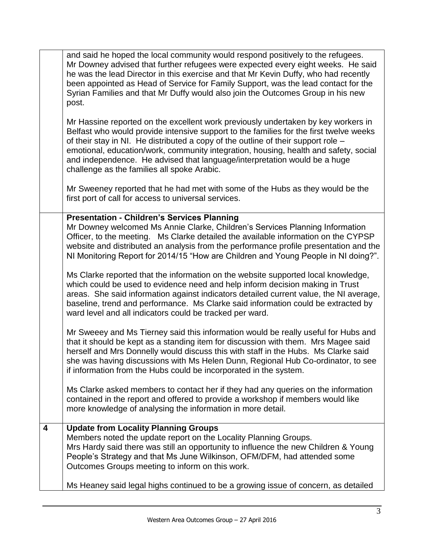|   | and said he hoped the local community would respond positively to the refugees.<br>Mr Downey advised that further refugees were expected every eight weeks. He said<br>he was the lead Director in this exercise and that Mr Kevin Duffy, who had recently<br>been appointed as Head of Service for Family Support, was the lead contact for the<br>Syrian Families and that Mr Duffy would also join the Outcomes Group in his new<br>post.                                         |
|---|--------------------------------------------------------------------------------------------------------------------------------------------------------------------------------------------------------------------------------------------------------------------------------------------------------------------------------------------------------------------------------------------------------------------------------------------------------------------------------------|
|   | Mr Hassine reported on the excellent work previously undertaken by key workers in<br>Belfast who would provide intensive support to the families for the first twelve weeks<br>of their stay in NI. He distributed a copy of the outline of their support role -<br>emotional, education/work, community integration, housing, health and safety, social<br>and independence. He advised that language/interpretation would be a huge<br>challenge as the families all spoke Arabic. |
|   | Mr Sweeney reported that he had met with some of the Hubs as they would be the<br>first port of call for access to universal services.                                                                                                                                                                                                                                                                                                                                               |
|   | <b>Presentation - Children's Services Planning</b><br>Mr Downey welcomed Ms Annie Clarke, Children's Services Planning Information<br>Officer, to the meeting. Ms Clarke detailed the available information on the CYPSP<br>website and distributed an analysis from the performance profile presentation and the<br>NI Monitoring Report for 2014/15 "How are Children and Young People in NI doing?".                                                                              |
|   | Ms Clarke reported that the information on the website supported local knowledge,<br>which could be used to evidence need and help inform decision making in Trust<br>areas. She said information against indicators detailed current value, the NI average,<br>baseline, trend and performance. Ms Clarke said information could be extracted by<br>ward level and all indicators could be tracked per ward.                                                                        |
|   | Mr Sweeey and Ms Tierney said this information would be really useful for Hubs and<br>that it should be kept as a standing item for discussion with them. Mrs Magee said<br>herself and Mrs Donnelly would discuss this with staff in the Hubs. Ms Clarke said<br>she was having discussions with Ms Helen Dunn, Regional Hub Co-ordinator, to see<br>if information from the Hubs could be incorporated in the system.                                                              |
|   | Ms Clarke asked members to contact her if they had any queries on the information<br>contained in the report and offered to provide a workshop if members would like<br>more knowledge of analysing the information in more detail.                                                                                                                                                                                                                                                  |
| 4 | <b>Update from Locality Planning Groups</b><br>Members noted the update report on the Locality Planning Groups.<br>Mrs Hardy said there was still an opportunity to influence the new Children & Young<br>People's Strategy and that Ms June Wilkinson, OFM/DFM, had attended some<br>Outcomes Groups meeting to inform on this work.                                                                                                                                                |
|   | Ms Heaney said legal highs continued to be a growing issue of concern, as detailed                                                                                                                                                                                                                                                                                                                                                                                                   |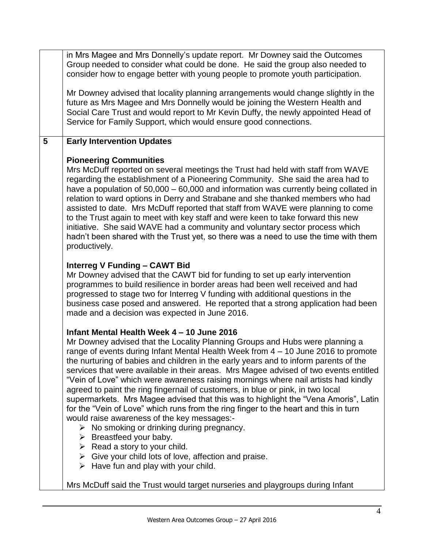|   | in Mrs Magee and Mrs Donnelly's update report. Mr Downey said the Outcomes<br>Group needed to consider what could be done. He said the group also needed to<br>consider how to engage better with young people to promote youth participation.                                                                                                                                                                                                                                                                                                                                                                                                                                                                                                                                                                                                                                                                                                                                                                                                                                                |
|---|-----------------------------------------------------------------------------------------------------------------------------------------------------------------------------------------------------------------------------------------------------------------------------------------------------------------------------------------------------------------------------------------------------------------------------------------------------------------------------------------------------------------------------------------------------------------------------------------------------------------------------------------------------------------------------------------------------------------------------------------------------------------------------------------------------------------------------------------------------------------------------------------------------------------------------------------------------------------------------------------------------------------------------------------------------------------------------------------------|
|   | Mr Downey advised that locality planning arrangements would change slightly in the<br>future as Mrs Magee and Mrs Donnelly would be joining the Western Health and<br>Social Care Trust and would report to Mr Kevin Duffy, the newly appointed Head of<br>Service for Family Support, which would ensure good connections.                                                                                                                                                                                                                                                                                                                                                                                                                                                                                                                                                                                                                                                                                                                                                                   |
| 5 | <b>Early Intervention Updates</b>                                                                                                                                                                                                                                                                                                                                                                                                                                                                                                                                                                                                                                                                                                                                                                                                                                                                                                                                                                                                                                                             |
|   | <b>Pioneering Communities</b><br>Mrs McDuff reported on several meetings the Trust had held with staff from WAVE<br>regarding the establishment of a Pioneering Community. She said the area had to<br>have a population of 50,000 – 60,000 and information was currently being collated in<br>relation to ward options in Derry and Strabane and she thanked members who had<br>assisted to date. Mrs McDuff reported that staff from WAVE were planning to come<br>to the Trust again to meet with key staff and were keen to take forward this new<br>initiative. She said WAVE had a community and voluntary sector process which<br>hadn't been shared with the Trust yet, so there was a need to use the time with them<br>productively.                                                                                                                                                                                                                                                                                                                                                |
|   | <b>Interreg V Funding - CAWT Bid</b><br>Mr Downey advised that the CAWT bid for funding to set up early intervention<br>programmes to build resilience in border areas had been well received and had<br>progressed to stage two for Interreg V funding with additional questions in the<br>business case posed and answered. He reported that a strong application had been<br>made and a decision was expected in June 2016.                                                                                                                                                                                                                                                                                                                                                                                                                                                                                                                                                                                                                                                                |
|   | Infant Mental Health Week 4 - 10 June 2016<br>Mr Downey advised that the Locality Planning Groups and Hubs were planning a<br>range of events during Infant Mental Health Week from 4 - 10 June 2016 to promote<br>the nurturing of babies and children in the early years and to inform parents of the<br>services that were available in their areas. Mrs Magee advised of two events entitled<br>"Vein of Love" which were awareness raising mornings where nail artists had kindly<br>agreed to paint the ring fingernail of customers, in blue or pink, in two local<br>supermarkets. Mrs Magee advised that this was to highlight the "Vena Amoris", Latin<br>for the "Vein of Love" which runs from the ring finger to the heart and this in turn<br>would raise awareness of the key messages:-<br>$\triangleright$ No smoking or drinking during pregnancy.<br>$\triangleright$ Breastfeed your baby.<br>$\triangleright$ Read a story to your child.<br>$\triangleright$ Give your child lots of love, affection and praise.<br>$\triangleright$ Have fun and play with your child. |
|   | Mrs McDuff said the Trust would target nurseries and playgroups during Infant                                                                                                                                                                                                                                                                                                                                                                                                                                                                                                                                                                                                                                                                                                                                                                                                                                                                                                                                                                                                                 |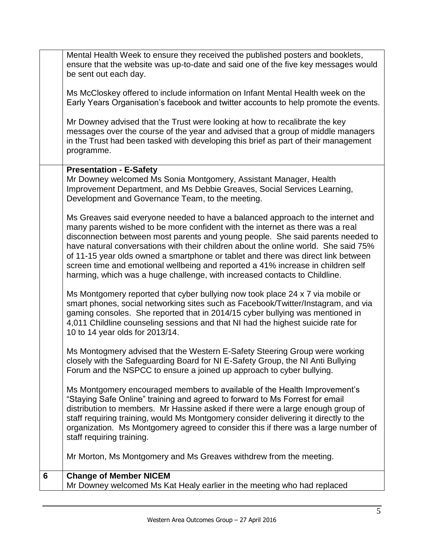|   | Mental Health Week to ensure they received the published posters and booklets,<br>ensure that the website was up-to-date and said one of the five key messages would<br>be sent out each day.                                                                                                                                                                                                                                                                                                                                                                                                      |
|---|----------------------------------------------------------------------------------------------------------------------------------------------------------------------------------------------------------------------------------------------------------------------------------------------------------------------------------------------------------------------------------------------------------------------------------------------------------------------------------------------------------------------------------------------------------------------------------------------------|
|   | Ms McCloskey offered to include information on Infant Mental Health week on the<br>Early Years Organisation's facebook and twitter accounts to help promote the events.                                                                                                                                                                                                                                                                                                                                                                                                                            |
|   | Mr Downey advised that the Trust were looking at how to recalibrate the key<br>messages over the course of the year and advised that a group of middle managers<br>in the Trust had been tasked with developing this brief as part of their management<br>programme.                                                                                                                                                                                                                                                                                                                               |
|   | <b>Presentation - E-Safety</b><br>Mr Downey welcomed Ms Sonia Montgomery, Assistant Manager, Health<br>Improvement Department, and Ms Debbie Greaves, Social Services Learning,<br>Development and Governance Team, to the meeting.                                                                                                                                                                                                                                                                                                                                                                |
|   | Ms Greaves said everyone needed to have a balanced approach to the internet and<br>many parents wished to be more confident with the internet as there was a real<br>disconnection between most parents and young people. She said parents needed to<br>have natural conversations with their children about the online world. She said 75%<br>of 11-15 year olds owned a smartphone or tablet and there was direct link between<br>screen time and emotional wellbeing and reported a 41% increase in children self<br>harming, which was a huge challenge, with increased contacts to Childline. |
|   | Ms Montgomery reported that cyber bullying now took place 24 x 7 via mobile or<br>smart phones, social networking sites such as Facebook/Twitter/Instagram, and via<br>gaming consoles. She reported that in 2014/15 cyber bullying was mentioned in<br>4,011 Childline counseling sessions and that NI had the highest suicide rate for<br>10 to 14 year olds for 2013/14.                                                                                                                                                                                                                        |
|   | Ms Montogmery advised that the Western E-Safety Steering Group were working<br>closely with the Safeguarding Board for NI E-Safety Group, the NI Anti Bullying<br>Forum and the NSPCC to ensure a joined up approach to cyber bullying.                                                                                                                                                                                                                                                                                                                                                            |
|   | Ms Montgomery encouraged members to available of the Health Improvement's<br>"Staying Safe Online" training and agreed to forward to Ms Forrest for email<br>distribution to members. Mr Hassine asked if there were a large enough group of<br>staff requiring training, would Ms Montgomery consider delivering it directly to the<br>organization. Ms Montgomery agreed to consider this if there was a large number of<br>staff requiring training.                                                                                                                                            |
|   | Mr Morton, Ms Montgomery and Ms Greaves withdrew from the meeting.                                                                                                                                                                                                                                                                                                                                                                                                                                                                                                                                 |
| 6 | <b>Change of Member NICEM</b><br>Mr Downey welcomed Ms Kat Healy earlier in the meeting who had replaced                                                                                                                                                                                                                                                                                                                                                                                                                                                                                           |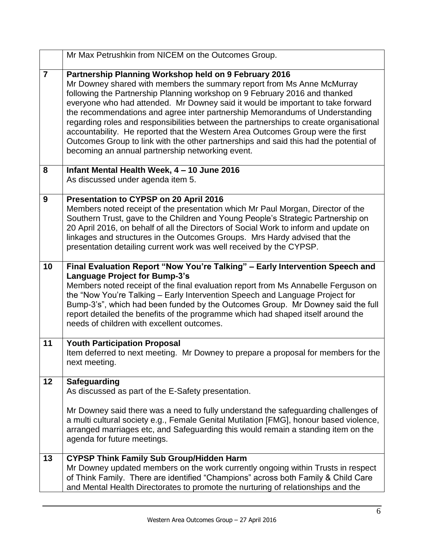|                | Mr Max Petrushkin from NICEM on the Outcomes Group.                                                                                                                                                                                                                                                                                                                                                                                                                                                                                                                                                                                                                                                        |
|----------------|------------------------------------------------------------------------------------------------------------------------------------------------------------------------------------------------------------------------------------------------------------------------------------------------------------------------------------------------------------------------------------------------------------------------------------------------------------------------------------------------------------------------------------------------------------------------------------------------------------------------------------------------------------------------------------------------------------|
| $\overline{7}$ | Partnership Planning Workshop held on 9 February 2016<br>Mr Downey shared with members the summary report from Ms Anne McMurray<br>following the Partnership Planning workshop on 9 February 2016 and thanked<br>everyone who had attended. Mr Downey said it would be important to take forward<br>the recommendations and agree inter partnership Memorandums of Understanding<br>regarding roles and responsibilities between the partnerships to create organisational<br>accountability. He reported that the Western Area Outcomes Group were the first<br>Outcomes Group to link with the other partnerships and said this had the potential of<br>becoming an annual partnership networking event. |
| 8              | Infant Mental Health Week, 4 - 10 June 2016<br>As discussed under agenda item 5.                                                                                                                                                                                                                                                                                                                                                                                                                                                                                                                                                                                                                           |
| 9              | Presentation to CYPSP on 20 April 2016<br>Members noted receipt of the presentation which Mr Paul Morgan, Director of the<br>Southern Trust, gave to the Children and Young People's Strategic Partnership on<br>20 April 2016, on behalf of all the Directors of Social Work to inform and update on<br>linkages and structures in the Outcomes Groups. Mrs Hardy advised that the<br>presentation detailing current work was well received by the CYPSP.                                                                                                                                                                                                                                                 |
| 10             | Final Evaluation Report "Now You're Talking" - Early Intervention Speech and<br>Language Project for Bump-3's<br>Members noted receipt of the final evaluation report from Ms Annabelle Ferguson on<br>the "Now You're Talking - Early Intervention Speech and Language Project for<br>Bump-3's", which had been funded by the Outcomes Group. Mr Downey said the full<br>report detailed the benefits of the programme which had shaped itself around the<br>needs of children with excellent outcomes.                                                                                                                                                                                                   |
| 11             | <b>Youth Participation Proposal</b><br>Item deferred to next meeting. Mr Downey to prepare a proposal for members for the<br>next meeting.                                                                                                                                                                                                                                                                                                                                                                                                                                                                                                                                                                 |
| 12             | <b>Safeguarding</b><br>As discussed as part of the E-Safety presentation.<br>Mr Downey said there was a need to fully understand the safeguarding challenges of<br>a multi cultural society e.g., Female Genital Mutilation [FMG], honour based violence,<br>arranged marriages etc, and Safeguarding this would remain a standing item on the<br>agenda for future meetings.                                                                                                                                                                                                                                                                                                                              |
| 13             | <b>CYPSP Think Family Sub Group/Hidden Harm</b><br>Mr Downey updated members on the work currently ongoing within Trusts in respect<br>of Think Family. There are identified "Champions" across both Family & Child Care<br>and Mental Health Directorates to promote the nurturing of relationships and the                                                                                                                                                                                                                                                                                                                                                                                               |